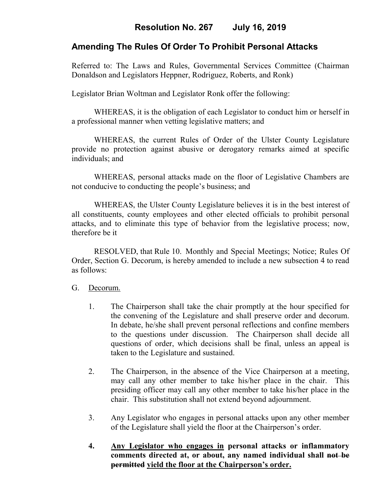# **Amending The Rules Of Order To Prohibit Personal Attacks**

Referred to: The Laws and Rules, Governmental Services Committee (Chairman Donaldson and Legislators Heppner, Rodriguez, Roberts, and Ronk)

Legislator Brian Woltman and Legislator Ronk offer the following:

WHEREAS, it is the obligation of each Legislator to conduct him or herself in a professional manner when vetting legislative matters; and

WHEREAS, the current Rules of Order of the Ulster County Legislature provide no protection against abusive or derogatory remarks aimed at specific individuals; and

WHEREAS, personal attacks made on the floor of Legislative Chambers are not conducive to conducting the people's business; and

WHEREAS, the Ulster County Legislature believes it is in the best interest of all constituents, county employees and other elected officials to prohibit personal attacks, and to eliminate this type of behavior from the legislative process; now, therefore be it

RESOLVED, that Rule 10. Monthly and Special Meetings; Notice; Rules Of Order, Section G. Decorum, is hereby amended to include a new subsection 4 to read as follows:

## G.Decorum.

- 1. The Chairperson shall take the chair promptly at the hour specified for the convening of the Legislature and shall preserve order and decorum. In debate, he/she shall prevent personal reflections and confine members to the questions under discussion. The Chairperson shall decide all questions of order, which decisions shall be final, unless an appeal is taken to the Legislature and sustained.
- 2. The Chairperson, in the absence of the Vice Chairperson at a meeting, may call any other member to take his/her place in the chair. This presiding officer may call any other member to take his/her place in the chair. This substitution shall not extend beyond adjournment.
- 3. Any Legislator who engages in personal attacks upon any other member of the Legislature shall yield the floor at the Chairperson's order.
- **4. Any Legislator who engages in personal attacks or inflammatory comments directed at, or about, any named individual shall not be permitted yield the floor at the Chairperson's order.**